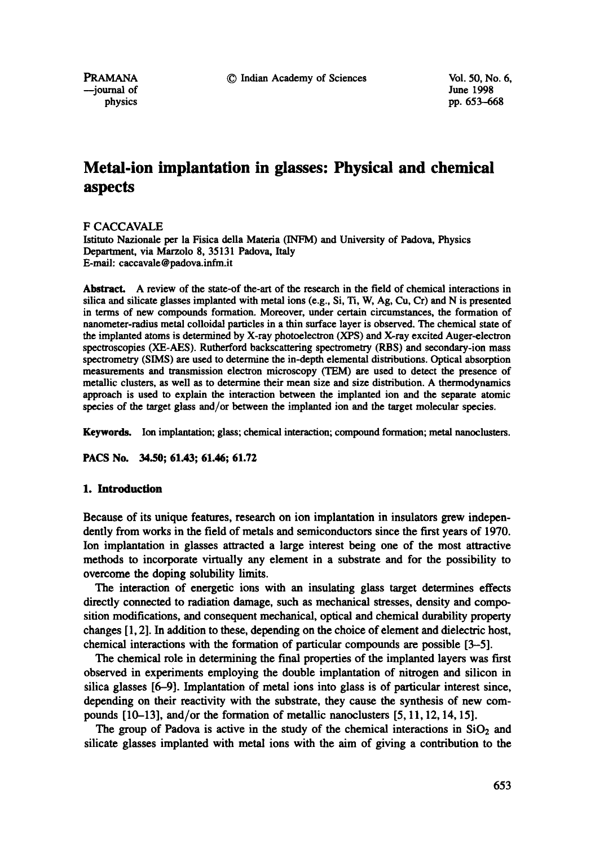--journal of June 1998

physics pp. 653--668

# **Metal-ion implantation in glasses: Physical and chemical aspects**

# F CACCAVALE

Istituto Nazionale per la Fisica della Materia (INFM) and University of Padova, Physics Department, via Marzolo 8, 35131 Padova, Italy E-mail: caccavale @padova.infrn.it

Abstract. A review of the state-of the-art of the research in the field of chemical interactions in silica and silicate glasses implanted with metal ions (e.g., Si, Ti, W, Ag, Cu, Cr) and N is presented in terms of new compounds formation. Moreover, under certain circumstances, the formation of nanometer-radius metal colloidal particles in a thin surface layer is observed. The chemical state of the implanted atoms is determined by X-ray photoelectron (XPS) and X-ray excited Auger-electron spectroscopies (XE-AES). Rutherford backscattering spectrometry (RBS) and secondary-ion mass spectrometry (SIMS) are used to determine the in-depth elemental distributions. Optical absorption measurements and transmission electron microscopy (TEM) are used to detect the presence of metallic clusters, as well as to determine their mean size and size distribution. A thermodynamics approach is used to explain the interaction between the implanted ion and the separate atomic species of the target glass and/or between the implanted ion and the target molecular species.

Keywords. Ion implantation; glass; chemical interaction; compound formation; metal nanoclusters.

**PACS No. 34.50; 61.43; 61.46; 61.72** 

#### **1. Introduction**

Because of its unique features, research on ion implantation in insulators grew independently from works in the field of metals and semiconductors since the first years of 1970. Ion implantation in glasses attracted a large interest being one of the most attractive methods to incorporate virtually any element in a substrate and for the possibility to overcome the doping solubility limits.

The interaction of energetic ions with an insulating glass target determines effects directly connected to radiation damage, such as mechanical stresses, density and composition modifications, and consequent mechanical, optical and chemical durability property changes [1, 2]. In addition to these, depending on the choice of element and dielectric host, chemical interactions with the formation of particular compounds are possible [3-5].

The chemical role in determining the final properties of the implanted layers was first observed in experiments employing the double implantation of nitrogen and silicon in silica glasses [6-9]. Implantation of metal ions into glass is of particular interest since, depending on their reactivity with the substrate, they cause the synthesis of new compounds [10-13], and/or the formation of metallic nanoclnsters [5, 11, 12, 14, 15].

The group of Padova is active in the study of the chemical interactions in  $SiO<sub>2</sub>$  and silicate glasses implanted with metal ions with the aim of giving a contribution to the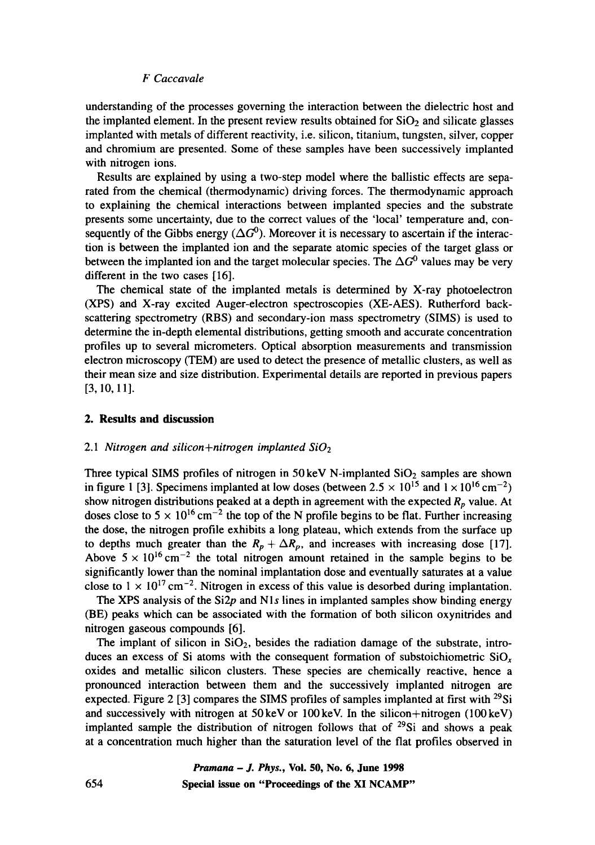understanding of the processes governing the interaction between the dielectric host and the implanted element. In the present review results obtained for  $SiO<sub>2</sub>$  and silicate glasses implanted with metals of different reactivity, i.e. silicon, titanium, tungsten, silver, copper and chromium are presented. Some of these samples have been successively implanted with nitrogen ions.

Results are explained by using a two-step model where the ballistic effects are separated from the chemical (thermodynamic) driving forces. The thermodynamic approach to explaining the chemical interactions between implanted species and the substrate presents some uncertainty, due to the correct values of the 'local' temperature and, consequently of the Gibbs energy ( $\Delta G^0$ ). Moreover it is necessary to ascertain if the interaction is between the implanted ion and the separate atomic species of the target glass or between the implanted ion and the target molecular species. The  $\Delta G^0$  values may be very different in the two cases [16].

The chemical state of the implanted metals is determined by X-ray photoelectron (XPS) and X-ray excited Auger-electron spectroscopies (XE-AES). Rutherford backscattering spectrometry (RBS) and secondary-ion mass spectrometry (SIMS) is used to determine the in-depth elemental distributions, getting smooth and accurate concentration profiles up to several micrometers. Optical absorption measurements and transmission electron microscopy (TEM) are used to detect the presence of metallic clusters, as well as their mean size and size distribution. Experimental details are reported in previous papers [3, 10, 11].

# **2. Results and discussion**

#### 2.1 *Nitrogen and silicon+nitrogen implanted*  $SiO<sub>2</sub>$

Three typical SIMS profiles of nitrogen in 50 keV N-implanted  $SiO<sub>2</sub>$  samples are shown in figure 1 [3]. Specimens implanted at low doses (between  $2.5 \times 10^{15}$  and  $1 \times 10^{16}$  cm<sup>-2</sup>) show nitrogen distributions peaked at a depth in agreement with the expected  $R_p$  value. At doses close to  $5 \times 10^{16}$  cm<sup>-2</sup> the top of the N profile begins to be flat. Further increasing the dose, the nitrogen profile exhibits a long plateau, which extends from the surface up to depths much greater than the  $R_p + \Delta R_p$ , and increases with increasing dose [17]. Above  $5 \times 10^{16}$  cm<sup>-2</sup> the total nitrogen amount retained in the sample begins to be significantly lower than the nominal implantation dose and eventually saturates at a value close to  $1 \times 10^{17}$  cm<sup>-2</sup>. Nitrogen in excess of this value is desorbed during implantation.

The XPS analysis of the  $Si2p$  and N1s lines in implanted samples show binding energy (BE) peaks which can be associated with the formation of both silicon oxynitrides and nitrogen gaseous compounds [6].

The implant of silicon in  $SiO<sub>2</sub>$ , besides the radiation damage of the substrate, introduces an excess of Si atoms with the consequent formation of substoichiometric  $SiO_r$ oxides and metallic silicon clusters. These species are chemically reactive, hence a pronounced interaction between them and the successively implanted nitrogen are expected. Figure 2 [3] compares the SIMS profiles of samples implanted at first with  $^{29}$ Si and successively with nitrogen at  $50 \,\text{keV}$  or  $100 \,\text{keV}$ . In the silicon+nitrogen (100 keV) implanted sample the distribution of nitrogen follows that of  $29Si$  and shows a peak at a concentration much higher than the saturation level of the flat profiles observed in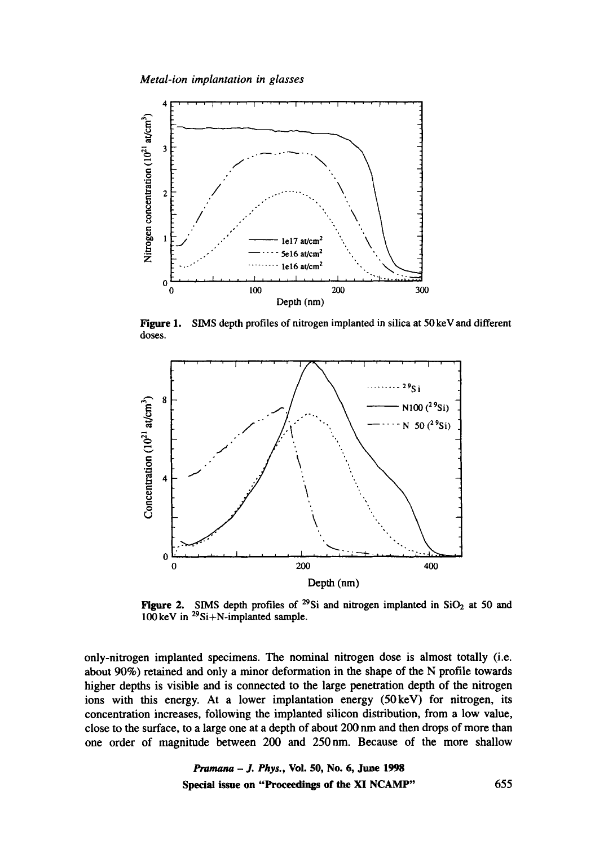

**Figure 1. SIMS depth profiles of nitrogen implanted in silica at 50 keV and different doses.** 



**Figure 2.** SIMS depth profiles of <sup>29</sup>Si and nitrogen implanted in SiO<sub>2</sub> at 50 and **100 keV in 29Si+N-implanted sample.** 

**only-nitrogen implanted specimens. The nominal nitrogen dose is almost totally (i.e. about 90%) retained and only a minor deformation in the shape of the N profile towards higher depths is visible and is connected to the large penetration depth of the nitrogen ions with this energy. At a lower implantation energy (50keV) for nitrogen, its concentration increases, following the implanted silicon distribution, from a low value, close to the surface, to a large one at a depth of about 200 nm and then drops of more than one order of magnitude between 200 and 250nm. Because of the more shallow**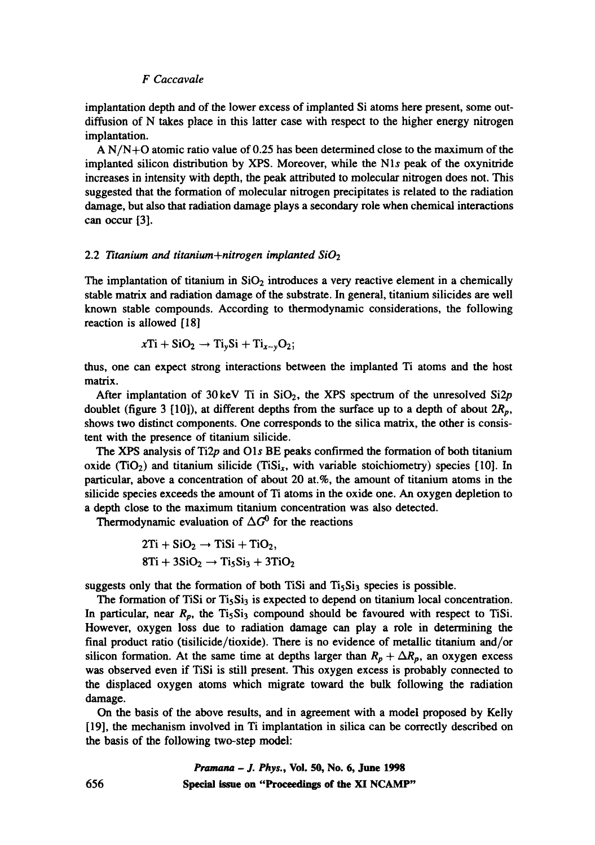implantation depth and of the lower excess of implanted Si atoms here present, some outdiffusion of N takes place in this latter case with respect to the higher energy nitrogen implantation.

A N/N+O atomic ratio value of 0.25 has been determined close to the maximum of the implanted silicon distribution by XPS. Moreover, while the Nls peak of the oxynitride increases in intensity with depth, the peak attributed to molecular nitrogen does not. This suggested that the formation of molecular nitrogen precipitates is related to the radiation damage, but also that radiation damage plays a secondary role when chemical interactions can occur [3].

# 2.2 Titanium and titanium+nitrogen implanted  $SiO<sub>2</sub>$

The implantation of titanium in  $SiO<sub>2</sub>$  introduces a very reactive element in a chemically stable matrix and radiation damage of the substrate. In general, titanium silicides are well known stable compounds. According to thermodynamic considerations, the following reaction is allowed [18]

$$
xTi + SiO2 \rightarrow TiySi + Tix-yO2;
$$

thus, one can expect strong interactions between the implanted Ti atoms and the host matrix.

After implantation of 30 keV Ti in  $SiO<sub>2</sub>$ , the XPS spectrum of the unresolved  $Si2p$ doublet (figure 3 [10]), at different depths from the surface up to a depth of about  $2R_p$ , shows two distinct components. One corresponds to the silica matrix, the other is consistent with the presence of titanium silicide.

The XPS analysis of Ti2p and Ols BE peaks confirmed the formation of both titanium oxide (TiO<sub>2</sub>) and titanium silicide (TiSi<sub>x</sub>, with variable stoichiometry) species [10]. In particular, above a concentration of about 20 at.%, the amount of titanium atoms in the silicide species exceeds the amount of Ti atoms in the oxide one. An oxygen depletion to a depth close to the maximum titanium concentration was also detected.

Thermodynamic evaluation of  $\Delta G^0$  for the reactions

$$
2Ti + SiO2 \rightarrow TiSi + TiO2,
$$
  

$$
8Ti + 3SiO2 \rightarrow Ti5Si3 + 3TiO2
$$

suggests only that the formation of both TiSi and  $Ti<sub>5</sub>Si<sub>3</sub>$  species is possible.

The formation of TiSi or  $Ti_5Si_3$  is expected to depend on titanium local concentration. In particular, near  $R_p$ , the Ti<sub>5</sub>Si<sub>3</sub> compound should be favoured with respect to TiSi. However, oxygen loss due to radiation damage can play a role in determining the final product ratio (tisilicide/tioxide). There is no evidence of metallic titanium and/or silicon formation. At the same time at depths larger than  $R_p + \Delta R_p$ , an oxygen excess was observed even if TiSi is still present. This oxygen excess is probably connected to the displaced oxygen atoms which migrate toward the bulk following the radiation damage.

On the basis of the above results, and in agreement with a model proposed by Kelly [19], the mechanism involved in Ti implantation in silica can be correctly described on the basis of the following two-step model: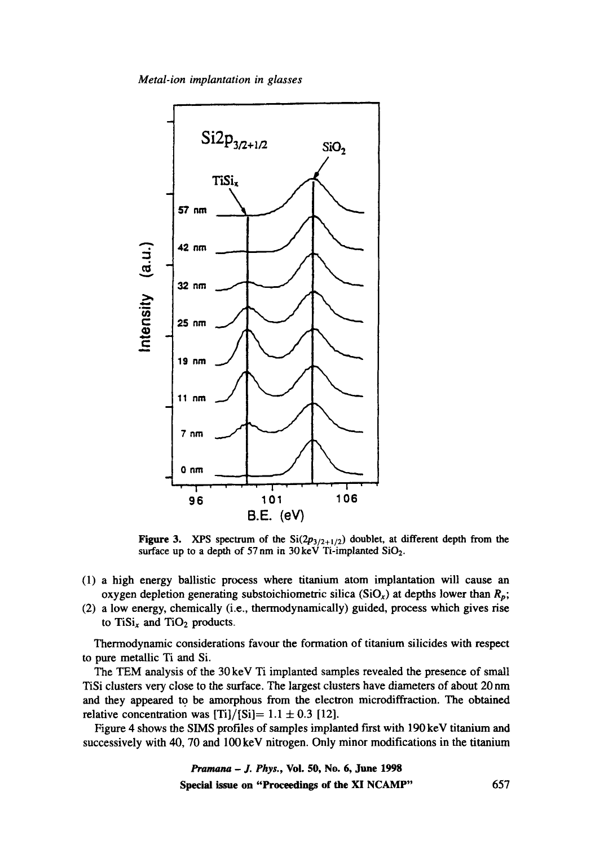

Figure 3. XPS spectrum of the  $Si(2p_{3/2+1/2})$  doublet, at different depth from the surface up to a depth of 57 nm in 30 keV Ti-implanted SiO<sub>2</sub>.

- (1) a high energy ballistic process where titanium atom implantation will cause an oxygen depletion generating substoichiometric silica (SiO<sub>x</sub>) at depths lower than  $R_p$ ;
- (2) a low energy, chemically (i,e., thermodynamically) guided, process which gives rise to  $TiSi<sub>x</sub>$  and  $TiO<sub>2</sub>$  products.

Thermodynamic considerations favour the formation of titanium silicides with respect to pure metallic Ti and Si.

The TEM analysis of the 30 keV Ti implanted samples revealed the presence of small TiSi clusters very close to the surface. The largest clusters have diameters of about 20 nm and they appeared to be amorphous from the electron microdiffraction. The obtained relative concentration was [Ti]/[Si]=  $1.1 \pm 0.3$  [12].

Figure 4 shows the SIMS profiles of samples implanted first with 190 keV titanium and successively with 40, 70 and 100 keV nitrogen. Only minor modifications in the titanium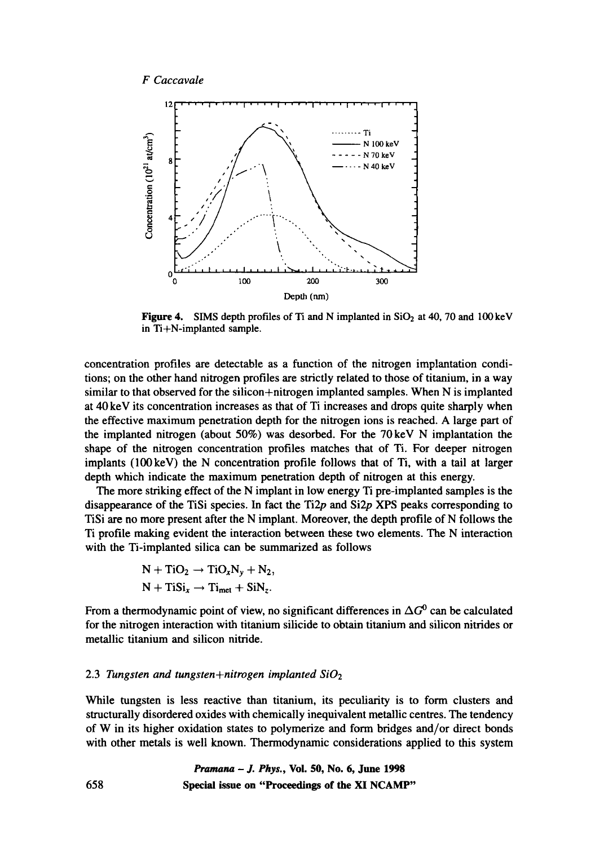

Figure 4. SIMS depth profiles of Ti and N implanted in  $SiO<sub>2</sub>$  at 40, 70 and 100 keV in Ti+N-implanted sample.

concentration profiles are detectable as a function of the nitrogen implantation conditions; on the other hand nitrogen profiles are strictly related to those of titanium, in a way similar to that observed for the silicon+nitrogen implanted samples. When N is implanted at 40 keV its concentration increases as that of Ti increases and drops quite sharply when the effective maximum penetration depth for the nitrogen ions is reached. A large part of the implanted nitrogen (about 50%) was desorbed. For the 70keV N implantation the shape of the nitrogen concentration profiles matches that of Ti. For deeper nitrogen implants (100keV) the N concentration profile follows that of Ti, with a tail at larger depth which indicate the maximum penetration depth of nitrogen at this energy.

The more striking effect of the N implant in low energy Ti pre-implanted samples is the disappearance of the TiSi species. In fact the Ti2p and Si2p XPS peaks corresponding to TiSi are no more present after the N implant. Moreover, the depth profile of N follows the Ti profile making evident the interaction between these two elements. The N interaction with the Ti-implanted silica can be summarized as follows

$$
N + TiO2 \rightarrow TiOxNy + N2,
$$
  

$$
N + TiSix \rightarrow Timet + SiNz.
$$

From a thermodynamic point of view, no significant differences in  $\Delta G^0$  can be calculated for the nitrogen interaction with titanium silicide to obtain titanium and silicon nitrides or metallic titanium and silicon nitride.

# 2.3 *Tungsten and tungsten+nitrogen implanted*  $SiO<sub>2</sub>$

While tungsten is less reactive than titanium, its peculiarity is to form clusters and structurally disordered oxides with chemically inequivalent metallic centres. The tendency of W in its higher oxidation states to polymerize and form bridges and/or direct bonds with other metals is well known. Thermodynamic considerations applied to this system

> *Pramana - J. Phys.,* **VoL 50, No. 6, June 1998 Special issue on "Proceedings of the Xl NCAMP"**

658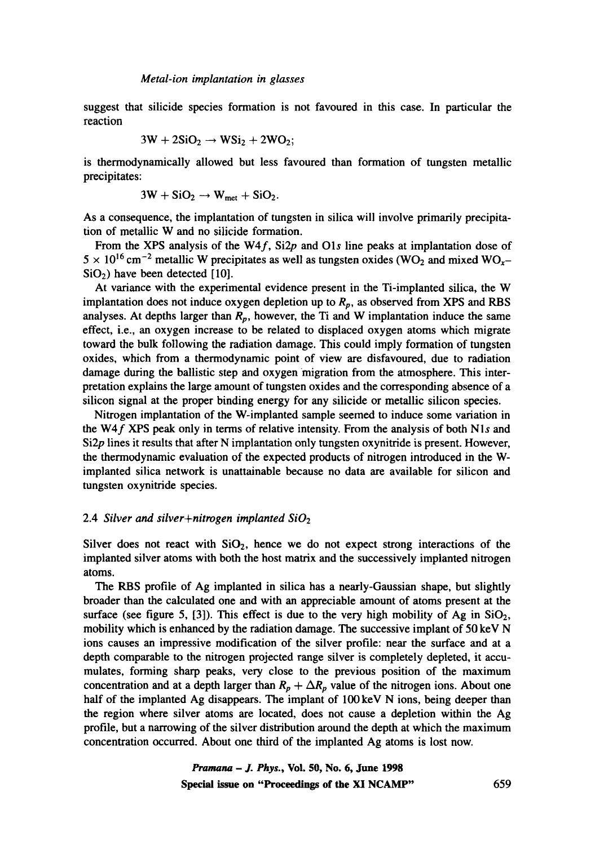suggest that silicide species formation is not favoured in this case. In particular the reaction

$$
3W + 2SiO_2 \rightarrow WSi_2 + 2WO_2;
$$

is thermodynamically allowed but less favoured than formation of tungsten metallic precipitates:

$$
3W + SiO2 \rightarrow Wmet + SiO2.
$$

As a consequence, the implantation of tungsten in silica will involve primarily precipitation of metallic W and no siticide formation.

From the XPS analysis of the W4 $f$ , Si2p and O1s line peaks at implantation dose of  $5 \times 10^{16}$  cm<sup>-2</sup> metallic W precipitates as well as tungsten oxides (WO<sub>2</sub> and mixed WO<sub>x</sub>- $SiO<sub>2</sub>$ ) have been detected [10].

At variance with the experimental evidence present in the Ti-implanted silica, the W implantation does not induce oxygen depletion up to *Rp,* as observed from XPS and RBS analyses. At depths larger than  $R_p$ , however, the Ti and W implantation induce the same effect, i.e., an oxygen increase to be related to displaced oxygen atoms which migrate toward the bulk following the radiation damage. This could imply formation of tungsten oxides, which from a thermodynamic point of view are disfavoured, due to radiation damage during the ballistic step and oxygen migration from the atmosphere. This interpretation explains the large amount of tungsten oxides and the corresponding absence of a silicon signal at the proper binding energy for any silicide or metallic silicon species.

Nitrogen implantation of the W-implanted sample seemed to induce some variation in the W4 $f$  XPS peak only in terms of relative intensity. From the analysis of both N1 $s$  and Si2p lines it results that after N implantation only tungsten oxynitride is present. However, the thermodynamic evaluation of the expected products of nitrogen introduced in the Wimplanted silica network is unattainable because no data are available for silicon and tungsten oxynitride species.

#### 2.4 *Silver and silver+nitrogen implanted Si02*

Silver does not react with  $SiO<sub>2</sub>$ , hence we do not expect strong interactions of the implanted silver atoms with both the host matrix and the successively implanted nitrogen atoms.

The RBS profile of Ag implanted in silica has a nearly-Gaussian shape, but slightly broader than the calculated one and with an appreciable amount of atoms present at the surface (see figure 5,  $[3]$ ). This effect is due to the very high mobility of Ag in  $SiO<sub>2</sub>$ , mobility which is enhanced by the radiation damage. The successive implant of 50 keV N ions causes an impressive modification of the silver profile: near the surface and at a depth comparable to the nitrogen projected range silver is completely depleted, it accumulates, forming sharp peaks, very close to the previous position of the maximum concentration and at a depth larger than  $R_p + \Delta R_p$  value of the nitrogen ions. About one half of the implanted Ag disappears. The implant of 100 keV N ions, being deeper than the region where silver atoms are located, does not cause a depletion within the Ag profile, but a narrowing of the silver distribution around the depth at which the maximum concentration occurred. About one third of the implanted Ag atoms is lost now.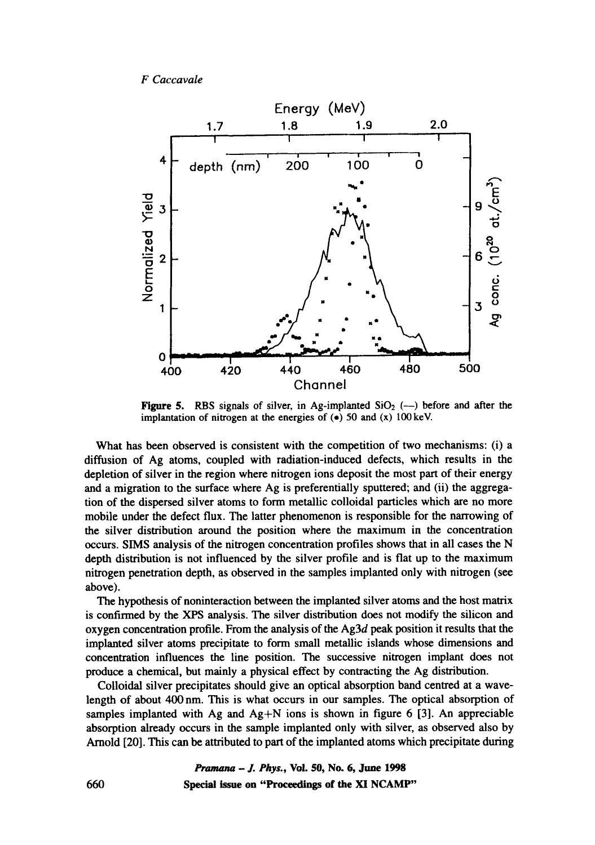

**Figure 5.** RBS signals of silver, in Ag-implanted  $SiO<sub>2</sub>$  (--) before and after the implantation of nitrogen at the energies of  $\left(\bullet\right)$  50 and  $\left(x\right)$  100 keV.

What has been observed is consistent with the competition of two mechanisms: (i) a diffusion of Ag atoms, coupled with radiation-induced defects, which results in the depletion of silver in the region where nitrogen ions deposit the most part of their energy and a migration to the surface where Ag is preferentially sputtered; and (ii) the aggregation of the dispersed silver atoms to form metallic colloidal particles which are no more mobile under the defect flux. The latter phenomenon is responsible for the narrowing of the silver distribution around the position where the maximum in the concentration occurs. SIMS analysis of the nitrogen concentration profiles shows that in all cases the N depth distribution is not influenced by the silver profile and is flat up to the maximum nitrogen penetration depth, as observed in the samples implanted only with nitrogen (see above).

The hypothesis of noninteraction between the implanted silver atoms and the host matrix is confirmed by the XPS analysis. The silver distribution does not modify the silicon and oxygen concentration profile. From the analysis of the Ag3d peak position it results that the implanted silver atoms precipitate to form small metallic islands whose dimensions and concentration influences the line position. The successive nitrogen implant does not produce a chemical, but mainly a physical effect by contracting the Ag distribution.

Colloidal silver precipitates should give an optical absorption band centred at a wavelength of about 400 nm. This is what occurs in our samples. The optical absorption of samples implanted with Ag and  $Ag+N$  ions is shown in figure 6 [3]. An appreciable absorption already occurs in the sample implanted only with silver, as observed also by Arnold [20]. This can be attributed to part of the implanted atoms which precipitate during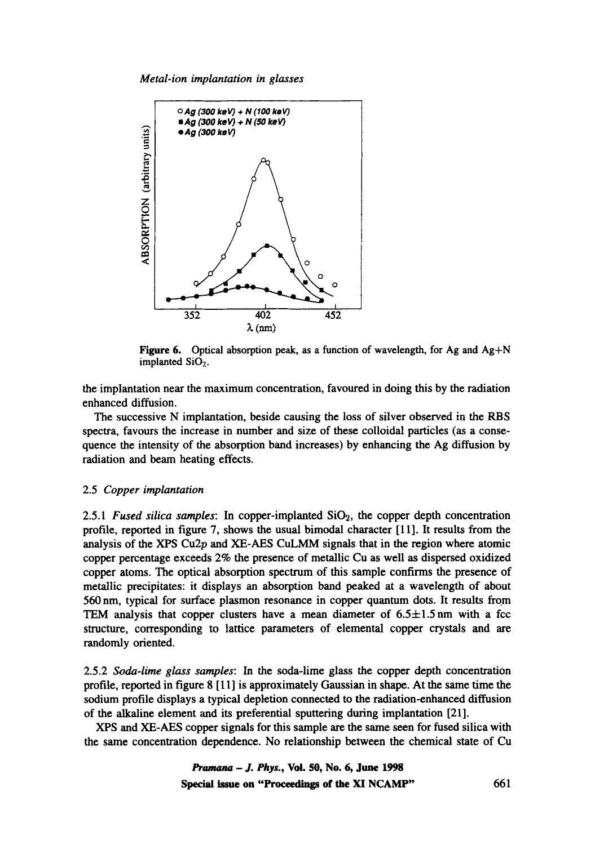



Figure 6. Optical absorption peak, as a function of wavelength, for Ag and  $Ag+N$ implanted SiO<sub>2</sub>.

the implantation near the maximum concentration, favoured in doing this by the radiation enhanced diffusion.

The successive N implantation, beside causing the loss of silver observed in the RBS spectra, favours the increase in number and size of these colloidal particles (as a consequence the intensity of the absorption band increases) by enhancing the Ag diffusion by radiation and beam heating effects.

# 2.5 *Copper implantation*

2.5.1 *Fused silica samples*: In copper-implanted SiO<sub>2</sub>, the copper depth concentration profile, reported in figure 7, shows the usual bimodal character [11]. It results from the analysis of the XPS Cu2p and XE-AES CuLMM signals that in the region where atomic copper percentage exceeds 2% the presence of metallic Cu as well as dispersed oxidized copper atoms. The optical absorption spectrum of this sample confirms the presence of metallic precipitates: it displays an absorption band peaked at a wavelength of about 560 nm, typical for surface plasmon resonance in copper quantum dots. It results from TEM analysis that copper clusters have a mean diameter of  $6.5 \pm 1.5$  nm with a fcc structure, corresponding to lattice parameters of elemental copper crystals and are randomly oriented.

2.5.2 *Soda-lime glass samples: In the* soda-lime glass the copper depth concentration profile, reported in figure 8 [11] is approximately Gaussian in shape. At the same time the sodium profile displays a typical depletion connected to the radiation-enhanced diffusion of the alkaline element and its preferential sputtering during implantation [21].

XPS and XE-AES copper signals for this sample are the same seen for fused silica with the same concentration dependence. No relationship between the chemical state of Cu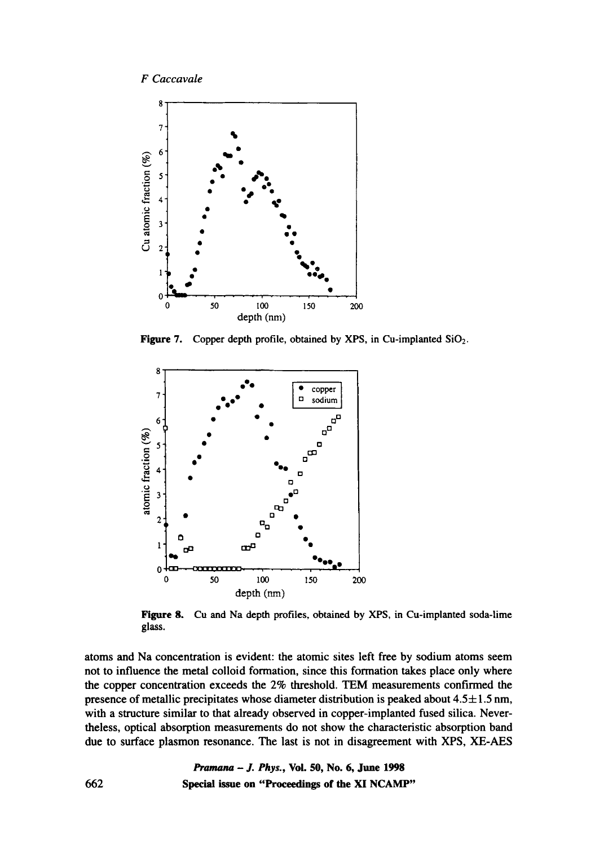

**Figure 7.** Copper depth profile, obtained by XPS, in Cu-implanted  $SiO<sub>2</sub>$ .



Figure 8. glass. Cu and Na depth profiles, obtained by XPS, in Cu-implanted soda-lime

atoms and Na concentration is evident: the atomic sites left free by sodium atoms seem not to influence the metal colloid formation, since this formation takes place only where the copper concentration exceeds the 2% threshold. TEM measurements confirmed the presence of metallic precipitates whose diameter distribution is peaked about  $4.5 \pm 1.5$  nm, with a structure similar to that already observed in copper-implanted fused silica. Nevertheless, optical absorption measurements do not show the characteristic absorption band due to surface plasmon resonance. The last is not in disagreement with XPS, XE-AES

> *Pramana - y. Phys.,* **Voi. 50, No. 6, June 1998 Special issue on "Proceedings of the XI NCAMP"**

662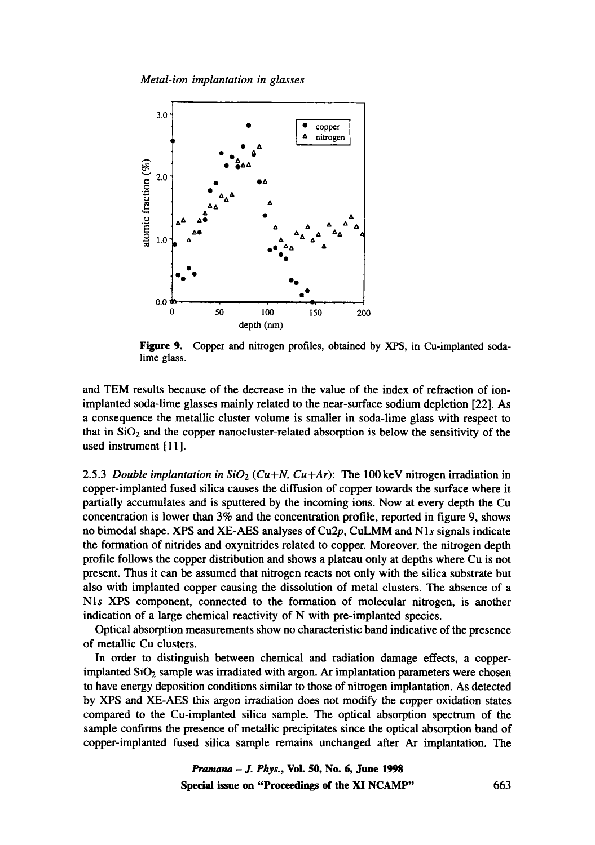

**Figure 9.**  lime glass. Copper and nitrogen profiles, obtained by XPS, in Cu-implanted soda-

and TEM results because of the decrease in the value of the index of refraction of ionimplanted soda-lime glasses mainly related to the near-surface sodium depletion [22]. As a consequence the metallic cluster volume is smaller in soda-lime glass with respect to that in  $SiO<sub>2</sub>$  and the copper nanocluster-related absorption is below the sensitivity of the used instrument [11].

2.5.3 *Double implantation in SiO<sub>2</sub> (Cu+N, Cu+Ar)*: The 100 keV nitrogen irradiation in copper-implanted fused silica causes the diffusion of copper towards the surface where it partially accumulates and is sputtered by the incoming ions. Now at every depth the Cu concentration is lower than 3% and the concentration profile, reported in figure 9, shows no bimodal shape. XPS and XE-AES analyses of  $Cu2p$ , CuLMM and N1s signals indicate the formation of nitrides and oxynitrides related to copper. Moreover, the nitrogen depth profile follows the copper distribution and shows a plateau only at depths where Cu is not present. Thus it can be assumed that nitrogen reacts not only with the silica substrate but also with implanted copper causing the dissolution of metal clusters. The absence of a Nls XPS component, connected to the formation of molecular nitrogen, is another indication of a large chemical reactivity of N with pre-implanted species.

Optical absorption measurements show no characteristic band indicative of the presence of metallic Cu clusters.

In order to distinguish between chemical and radiation damage effects, a copperimplanted  $SiO<sub>2</sub>$  sample was irradiated with argon. Ar implantation parameters were chosen to have energy deposition conditions similar to those of nitrogen implantation. As detected by XPS and XE-AES this argon irradiation does not modify the copper oxidation states compared to the Cu-implanted silica sample. The optical absorption spectrum of the sample confirms the presence of metallic precipitates since the optical absorption band of copper-implanted fused silica sample remains unchanged after Ar implantation. The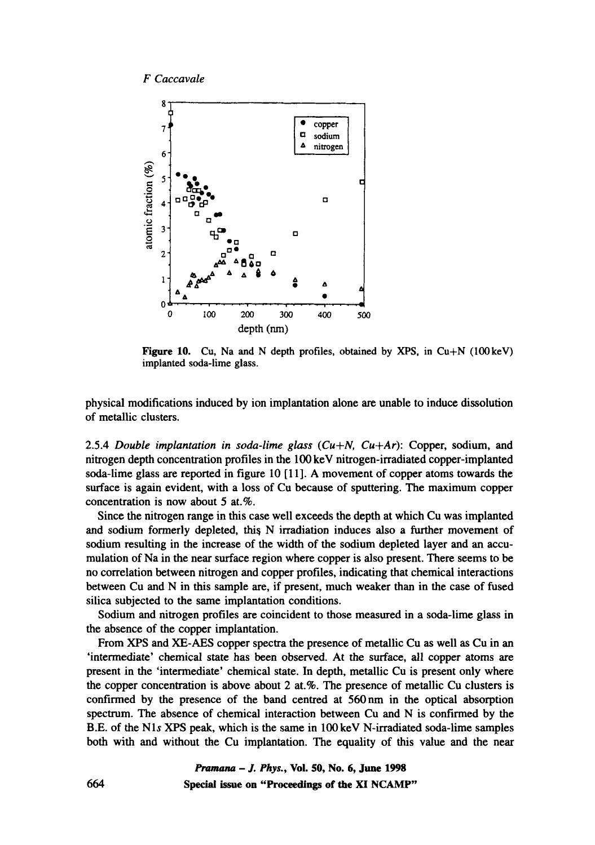

Figure 10. Cu, Na and N depth profiles, obtained by XPS, in  $Cu+N$  (100 keV) implanted soda-lime glass.

physical modifications induced by ion implantation alone are unable to induce dissolution of metallic clusters.

2.5.4 *Double implantation in soda-lime glass (Cu+N, Cu+Ar):* Copper, sodium, and nitrogen depth concentration profiles in the 100 keV nitrogen-irradiated copper-implanted soda-lime glass are reported in figure 10 [11]. A movement of copper atoms towards the surface is again evident, with a loss of Cu because of sputtering. The maximum copper concentration is now about 5 at.%.

Since the nitrogen range in this case well exceeds the depth at which Cu was implanted and sodium formerly depleted, this  $N$  irradiation induces also a further movement of sodium resulting in the increase of the width of the sodium depleted layer and an accumulation of Na in the near surface region where copper is also present. There seems to be no correlation between nitrogen and copper profiles, indicating that chemical interactions between Cu and N in this sample are, if present, much weaker than in the case of fused silica subjected to the same implantation conditions.

Sodium and nitrogen profiles are coincident to those measured in a soda-lime glass in the absence of the copper implantation.

From XPS and XE-AES copper spectra the presence of metallic Cu as well as Cu in an 'intermediate' chemical state has been observed. At the surface, all copper atoms are present in the 'intermediate' chemical state. In depth, metallic Cu is present only where the copper concentration is above about 2 at.%. The presence of metallic Cu clusters is confirmed by the presence of the band centred at 560nm in the optical absorption spectrum. The absence of chemical interaction between Cu and N is confirmed by the B.E. of the Nls XPS peak, which is the same in 100 keV N-irradiated soda-lime samples both with and without the Cu implantation. The equality of this value and the near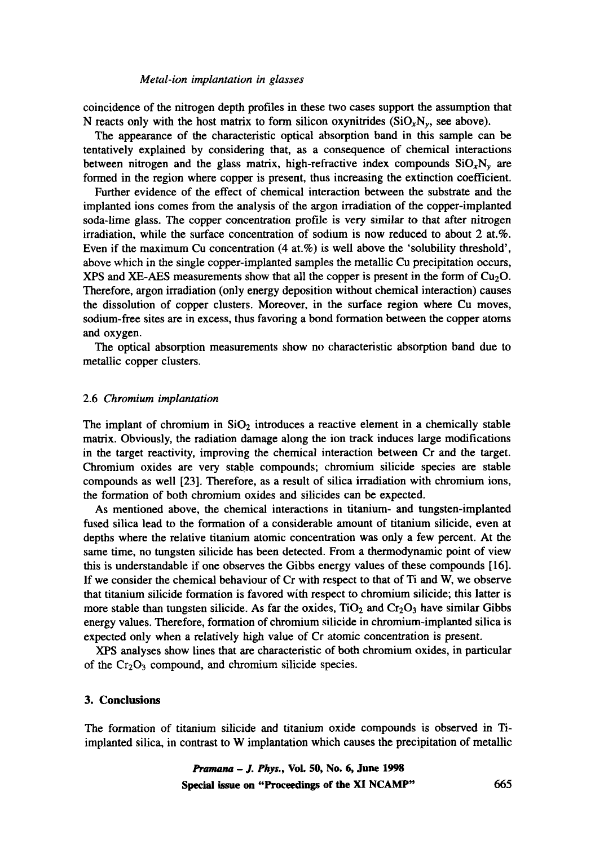coincidence of the nitrogen depth profiles in these two cases support the assumption that N reacts only with the host matrix to form silicon oxynitrides  $(SiO_xN_y)$ , see above).

The appearance of the characteristic optical absorption band in this sample can be tentatively explained by considering that, as a consequence of chemical interactions between nitrogen and the glass matrix, high-refractive index compounds  $SiO_xN_y$  are formed in the region where copper is present, thus increasing the extinction coefficient.

Further evidence of the effect of chemical interaction between the substrate and the implanted ions comes from the analysis of the argon irradiation of the copper-implanted soda-lime glass. The copper concentration profile is very similar to that after nitrogen irradiation, while the surface concentration of sodium is now reduced to about 2 at.%. Even if the maximum Cu concentration (4 at.%) is well above the 'solubility threshold', above which in the single copper-implanted samples the metallic Cu precipitation occurs, XPS and XE-AES measurements show that all the copper is present in the form of  $Cu<sub>2</sub>O$ . Therefore, argon irradiation (only energy deposition without chemical interaction) causes the dissolution of copper clusters. Moreover, in the surface region where Cu moves, sodium-free sites are in excess, thus favoring a bond formation between the copper atoms and oxygen.

The optical absorption measurements show no characteristic absorption band due to metallic copper clusters.

#### 2.6 *Chromium implantation*

The implant of chromium in  $SiO<sub>2</sub>$  introduces a reactive element in a chemically stable matrix. Obviously, the radiation damage along the ion track induces large modifications in the target reactivity, improving the chemical interaction between Cr and the target. Chromium oxides are very stable compounds; chromium silicide species are stable compounds as well [23]. Therefore, as a result of silica irradiation with chromium ions, the formation of both chromium oxides and silicides can be expected.

As mentioned above, the chemical interactions in titanium- and tungsten-implanted fused silica lead to the formation of a considerable amount of titanium silicide, even at depths where the relative titanium atomic concentration was only a few percent. At the same time, no tungsten silicide has been detected. From a thermodynamic point of view this is understandable if one observes the Gibbs energy values of these compounds [16]. If we consider the chemical behaviour of Cr with respect to that of Ti and W, we observe that titanium silicide formation is favored with respect to chromium silicide; this latter is more stable than tungsten silicide. As far the oxides,  $TiO<sub>2</sub>$  and  $Cr<sub>2</sub>O<sub>3</sub>$  have similar Gibbs energy values. Therefore, formation of chromium silicide in chromium-implanted silica is expected only when a relatively high value of Cr atomic concentration is present.

XPS analyses show lines that are characteristic of both chromium oxides, in particular of the  $Cr_2O_3$  compound, and chromium silicide species.

# **3. Conclusions**

The formation of titanium silicide and titanium oxide compounds is observed in Tiimplanted silica, in contrast to W implantation which causes the precipitation of metallic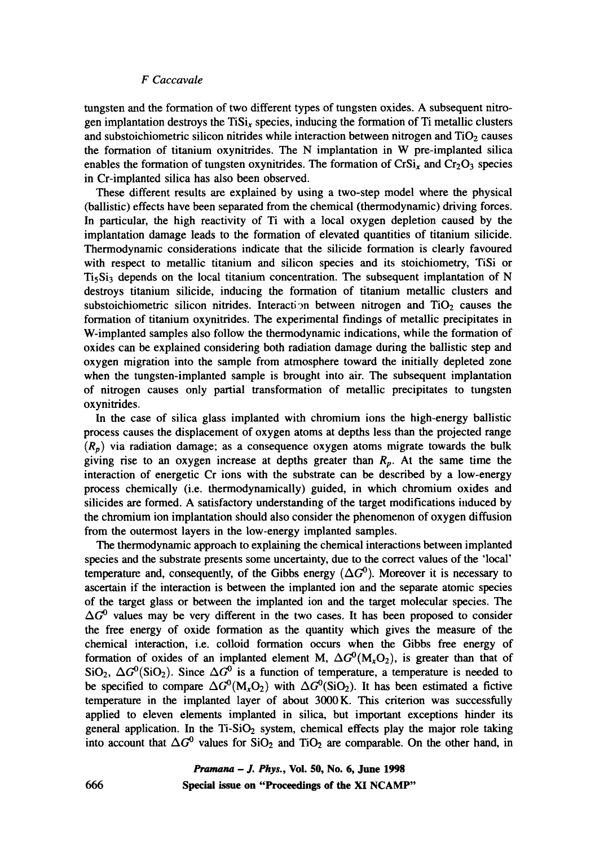tungsten and the formation of two different types of tungsten oxides. A subsequent nitrogen implantation destroys the TiSi<sub>x</sub> species, inducing the formation of Ti metallic clusters and substoichiometric silicon nitrides while interaction between nitrogen and  $TiO<sub>2</sub>$  causes the formation of titanium oxynitrides. The N implantation in W pre-implanted silica enables the formation of tungsten oxynitrides. The formation of  $CrSi<sub>x</sub>$  and  $Cr<sub>2</sub>O<sub>3</sub>$  species in Cr-implanted silica has also been observed.

These different results are explained by using a two-step model where the physical (ballistic) effects have been separated from the chemical (thermodynamic) driving forces. In particular, the high reactivity of Ti with a local oxygen depletion caused by the implantation damage leads to the formation of elevated quantities of titanium silicide. Thermodynamic considerations indicate that the silicide formation is clearly favoured with respect to metallic titanium and silicon species and its stoichiometry, TiSi or  $Ti<sub>5</sub>Si<sub>3</sub>$  depends on the local titanium concentration. The subsequent implantation of N destroys titanium silicide, inducing the formation of titanium metallic clusters and substoichiometric silicon nitrides. Interaction between nitrogen and  $TiO<sub>2</sub>$  causes the formation of titanium oxynitrides. The experimental findings of metallic precipitates in W-implanted samples also follow the thermodynamic indications, while the formation of oxides can be explained considering both radiation damage during the ballistic step and oxygen migration into the sample from atmosphere toward the initially depleted zone when the tungsten-implanted sample is brought into air. The subsequent implantation of nitrogen causes only partial transformation of metallic precipitates to tungsten oxynitrides.

In the case of silica glass implanted with chromium ions the high-energy ballistic process causes the displacement of oxygen atoms at depths less than the projected range  $(R_n)$  via radiation damage; as a consequence oxygen atoms migrate towards the bulk giving rise to an oxygen increase at depths greater than  $R_p$ . At the same time the interaction of energetic Cr ions with the substrate can be described by a low-energy process chemically (i.e. thermodynamically) guided, in which chromium oxides and silicides are formed. A satisfactory understanding of the target modifications induced by the chromium ion implantation should also consider the phenomenon of oxygen diffusion from the outermost layers in the low-energy implanted samples.

The thermodynamic approach to explaining the chemical interactions between implanted species and the substrate presents some uncertainty, due to the correct values of the 'local' temperature and, consequently, of the Gibbs energy  $(\Delta G^0)$ . Moreover it is necessary to ascertain if the interaction is between the implanted ion and the separate atomic species of the target glass or between the implanted ion and the target molecular species. The  $\Delta G^0$  values may be very different in the two cases. It has been proposed to consider the free energy of oxide formation as the quantity which gives the measure of the chemical interaction, i.e. colloid formation occurs when the Gibbs free energy of formation of oxides of an implanted element M,  $\Delta G^0(M, O_2)$ , is greater than that of SiO<sub>2</sub>,  $\Delta G^0$ (SiO<sub>2</sub>). Since  $\Delta G^0$  is a function of temperature, a temperature is needed to be specified to compare  $\Delta G^0(M_xO_2)$  with  $\Delta G^0(SiO_2)$ . It has been estimated a fictive temperature in the implanted layer of about 3000K. This criterion was successfully applied to eleven elements implanted in silica, but important exceptions hinder its general application. In the Ti-SiO<sub>2</sub> system, chemical effects play the major role taking into account that  $\Delta G^0$  values for SiO<sub>2</sub> and TiO<sub>2</sub> are comparable. On the other hand, in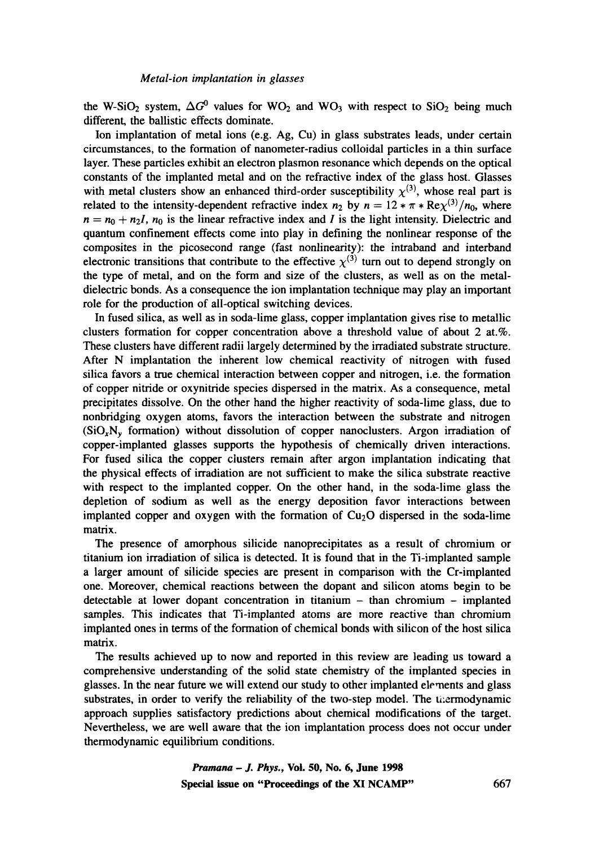the W-SiO<sub>2</sub> system,  $\Delta G^0$  values for WO<sub>2</sub> and WO<sub>3</sub> with respect to SiO<sub>2</sub> being much different, the ballistic effects dominate.

Ion implantation of metal ions (e.g. Ag, Cu) in glass substrates leads, under certain circumstances, to the formation of nanometer-radius colloidal particles in a thin surface layer. These particles exhibit an electron plasmon resonance which depends on the optical constants of the implanted metal and on the refractive index of the glass host. Glasses with metal clusters show an enhanced third-order susceptibility  $\chi^{(3)}$ , whose real part is related to the intensity-dependent refractive index  $n_2$  by  $n = 12 * \pi * Re\chi^{(3)}/n_0$ , where  $n = n_0 + n_2I$ ,  $n_0$  is the linear refractive index and *I* is the light intensity. Dielectric and quantum confinement effects come into play in defining the nonlinear response of the composites in the picosecond range (fast nonlinearity): the intraband and interband electronic transitions that contribute to the effective  $\chi^{(3)}$  turn out to depend strongly on the type of metal, and on the form and size of the clusters, as well as on the metaldielectric bonds. As a consequence the ion implantation technique may play an important role for the production of all-optical switching devices.

In fused silica, as well as in soda-lime glass, copper implantation gives rise to metallic clusters formation for copper concentration above a threshold value of about 2 at.%. These clusters have different radii largely determined by the irradiated substrate structure. After N implantation the inherent low chemical reactivity of nitrogen with fused silica favors a true chemical interaction between copper and nitrogen, i.e. the formation of copper nitride or oxynitride species dispersed in the matrix. As a consequence, metal precipitates dissolve. On the other hand the higher reactivity of soda-lime glass, due to nonbridging oxygen atoms, favors the interaction between the substrate and nitrogen  $(SiO<sub>x</sub>N<sub>y</sub>$  formation) without dissolution of copper nanoclusters. Argon irradiation of copper-implanted glasses supports the hypothesis of chemically driven interactions. For fused silica the copper clusters remain after argon implantation indicating that the physical effects of irradiation are not sufficient to make the silica substrate reactive with respect to the implanted copper. On the other hand, in the soda-lime glass the depletion of sodium as well as the energy deposition favor interactions between implanted copper and oxygen with the formation of  $Cu<sub>2</sub>O$  dispersed in the soda-lime matrix.

The presence of amorphous silicide nanoprecipitates as a result of chromium or titanium ion irradiation of silica is detected. It is found that in the Ti-implanted sample a larger amount of silicide species are present in comparison with the Cr-implanted one. Moreover, chemical reactions between the dopant and silicon atoms begin to be detectable at lower dopant concentration in titanium  $-$  than chromium  $-$  implanted samples. This indicates that Ti-implanted atoms are more reactive than chromium implanted ones in terms of the formation of chemical bonds with silicon of the host silica matrix.

The results achieved up to now and reported in this review are leading us toward a comprehensive understanding of the solid state chemistry of the implanted species in glasses. In the near future we will extend our study to other implanted elements and glass substrates, in order to verify the reliability of the two-step model. The ti:ermodynamic approach supplies satisfactory predictions about chemical modifications of the target. Nevertheless, we are well aware that the ion implantation process does not occur under thermodynamic equilibrium conditions.